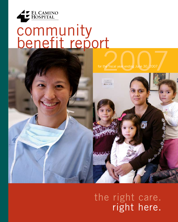

# community benefit report

for the fiscal year ending June 30, 2007 2007



## the right care. right here.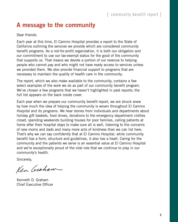#### community benefit report |

### **A message to the community**

Dear friends:

Each year at this time, El Camino Hospital provides a report to the State of California outlining the services we provide which are considered community benefit programs. As a not-for-profit organization, it is both our obligation and our commitment to use our tax-exempt status for the good of the community that supports us. That means we devote a portion of our revenue to helping people who cannot pay and who might not have ready access to services unless we provided them. We also provide financial support to programs that are necessary to maintain the quality of health care in the community.

The report, which we also make available to the community, contains a few select examples of the work we do as part of our community benefit program. We've chosen a few programs that we haven't highlighted in past reports; the full list appears on the back inside cover.

Each year when we prepare our community benefit report, we are struck anew by how much the idea of helping the community is woven throughout El Camino Hospital and its programs. We hear stories from individuals and departments about holiday gift baskets, food drives, donations to the emergency department clothes closet, spending weekends building houses for poor families, calling patients at home after their hospital stays to make sure all is well, listening to the concerns of new moms and dads and many more acts of kindness than we can list here. That's why we can say confidently that at El Camino Hospital, while community benefit has a form, structure and guidelines, it also has a heart. Caring for the community and the patients we serve is an essential value at El Camino Hospital and we're exceptionally proud of the vital role that we continue to play in our community's health.

Sincerely,

Ken Crohow

Kenneth D. Graham Chief Executive Officer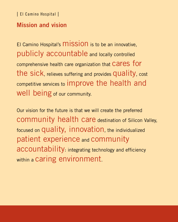### **Mission and vision**

El Camino Hospital's **MISSION** is to be an innovative, publicly accountable and locally controlled comprehensive health care organization that Cares for the sick, relieves suffering and provides quality, cost competitive services to improve the health and well being of our community.

Our vision for the future is that we will create the preferred community health care destination of Silicon Valley, focused on quality, innovation, the individualized patient experience and community accountability integrating technology and efficiency within a caring environment.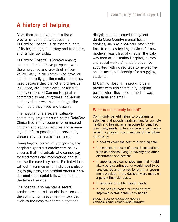### **A history of helping**

More than an obligation or a list of programs, community outreach at El Camino Hospital is an essential part of its beginnings, its history and traditions, and its identity today.

El Camino Hospital is located among communities that have prospered with the emergence and growth of Silicon Valley. Many in the community, however, still can't easily get the medical care they need because they cannot afford health insurance, are unemployed, or are frail, elderly or poor. El Camino Hospital is committed to ensuring these individuals and any others who need help, get the health care they need and deserve.

The hospital offers several valuable community programs such as the RotaCare Clinic; free immunizations for uninsured children and adults; lectures and screenings to inform people about preventing disease and managing their health.

Going beyond community programs, the hospital's generous charity care policy ensures that individuals who cannot pay for treatments and medications can still receive the care they need. For individuals without insurance or for individuals electing to pay cash, the hospital offers a 75% discount on hospital bills when paid at the time of service.

The hospital also maintains several services even at a financial loss because the community needs them — services such as the hospital's three outpatient

dialysis centers located throughout Santa Clara County; mental health services, such as a 24-hour psychiatric line; free breastfeeding services for new mothers, regardless of whether the baby was born at El Camino Hospital; nurses' and social workers' funds that can be activated with no red tape to help someone in need; scholarships for struggling students.

El Camino Hospital is proud to be a partner with this community, helping people when they need it most in ways both large and small.

#### **What is community benefit?**

Community benefit refers to programs or activities that provide treatment and/or promote health and healing as a response to identified community needs. To be considered a community benefit, a program must meet one of the following criteria:

- It doesn't cover the cost of providing care.
- It responds to needs of special populations such as persons living in poverty and other disenfranchised persons.
- It supplies services or programs that would likely be discontinued, or would need to be provided by another not-for-profit or government provider, if the decision were made on a purely financial basis.
- It responds to public health needs.
- It involves education or research that improves overall community health.

*Source: A Guide for Planning and Reporting Community Benefit, Catholic Health Association*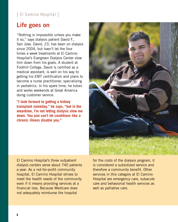### **Life goes on**

"Nothing is impossible unless you make it so," says dialysis patient David F., San Jose. David, 23, has been on dialysis since 2004, but hasn't let the four times a week treatments at El Camino Hospital's Evergreen Dialysis Center slow him down from his goals. A student at Foothill College, David is certified as a medical assistant, is well on his way to getting his EMT certification and plans to become a nurse practitioner, specializing in pediatrics. In his spare time, he tutors and works weekends at Great America doing customer service.

**"I look forward to getting a kidney transplant someday," he says, "but in the meantime, I'm not letting dialysis slow me down. You just can't let conditions like a chronic illness disable you."**



El Camino Hospital's three outpatient dialysis centers serve about 740 patients a year. As a not-for-profit community hospital, El Camino Hospital strives to meet the health needs of the community even if it means providing services at a financial loss. Because Medicare does not adequately reimburse the hospital

for the costs of the dialysis program, it is considered a subsidized service and therefore a community benefit. Other services in this category at El Camino Hospital are emergency care, subacute care and behaviorial health services as well as palliative care.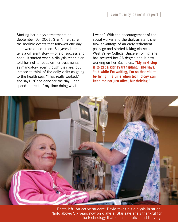Starting her dialysis treatments on September 10, 2001, Star N. felt sure the horrible events that followed one day later were a bad omen. Six years later, she tells a different story — one of success and hope. It started when a dialysis technician told her not to focus on her treatments as mandatory, even though they are, but instead to think of the daily visits as going to the health spa. "That really worked," she says. "Once done for the day, I can spend the rest of my time doing what

I want." With the encouragement of the social worker and the dialysis staff, she took advantage of an early retirement package and started taking classes at West Valley College. Since enrolling, she has secured her AA degree and is now working on her Bachelors. **"My next step is to get a kidney transplant," she says, "but while I'm waiting, I'm so thankful to be living in a time when technology can keep me not just alive, but thriving."**



 Photo above: Six years now on dialysis, Star says she's thankful for Photo left: An active student, David takes his dialysis in stride. the technology that keeps her alive and thriving.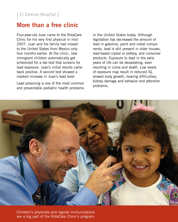### **More than a free clinic**

Four-year-old Juan came to the RotaCare Clinic for his very first physical in mid-2007. Juan and his family had moved to the United States from Mexico only four months earlier. At the clinic, new immigrant children automatically get scheduled for a lab test that screens for lead exposure. Juan's initial results came back positive. A second test showed a marked increase in Juan's lead level.

Lead poisoning is one of the most common and preventable pediatric health problems

in the United States today. Although legislation has decreased the amount of lead in gasoline, paint and metal components, lead is still present in older houses, lead-based crystal or pottery, and consumer products. Exposure to lead in the early years of life can be devastating, even resulting in coma and death. Low levels of exposure may result in reduced IQ, slowed body growth, hearing difficulties, kidney damage and behavior and attention problems.



 are a big part of the RotaCare Clinic's program. Children's physicals and regular immunizations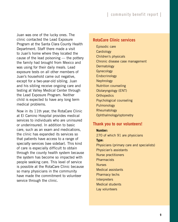Juan was one of the lucky ones. The clinic contacted the Lead Exposure Program at the Santa Clara County Health Department. Staff there made a visit to Juan's home where they located the cause of the lead poisoning — the pottery the family had brought from Mexico and was using for their daily meals. Lead exposure tests on all other members of Juan's household came out negative, except for a two-year-old sibling. Juan and his sibling receive ongoing care and testing at Valley Medical Center through the Lead Exposure Program. Neither child is expected to have any long term medical problems.

Now in its 11th year, the RotaCare Clinic at El Camino Hospital provides medical services to individuals who are uninsured or underinsured. In addition to basic care, such as an exam and medications, the clinic has expanded its services so that patients have access to a range of specialty services (see sidebar). This kind of care is especially difficult to obtain through the county health system because the system has become so impacted with people seeking care. This level of service is possible at the RotaCare Clinic because so many physicians in the community have made the commitment to volunteer service through the clinic.

#### **RotaCare Clinic services**

Episodic care **Cardiology** Children's physicals Chronic disease case management **Dermatology Gynecology** Endocrinology **Nephrology** Nutrition counseling Otolaryngology (ENT) **Orthopedics** Psychological counseling Pulmonology Rheumatology Ophthalmology/optometry

#### **Thank you to our volunteers!**

**Number:** 270 of which 91 are physicians **Type:** Physicians (primary care and specialists) Physician's assistants Nurse practitioners **Pharmacists Nurses** Medical assistants Pharmacy techs **Interpreters** Medical students Lay volunteers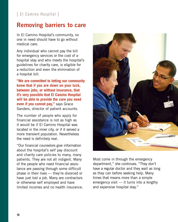### **Removing barriers to care**

In El Camino Hospital's community, no one in need should have to go without medical care.

Any individual who cannot pay the bill for emergency services or the cost of a hospital stay and who meets the hospital's guidelines for charity care, is eligible for a reduction and even the elimination of a hospital bill.

**"We are committed to letting our community know that if you are down on your luck, between jobs, or without insurance, that it's very possible that El Camino Hospital will be able to provide the care you need even if you cannot pay,"** says Grace Sanders, director of patient accounts.

The number of people who apply for financial assistance is not as high as it would be if El Camino Hospital was located in the inner city, or if it served a more transient population. Nevertheless the need is definitely real.

"Our financial counselors give information about the hospital's self pay discount and charity care policies to many, many patients. They are not all indigent. Many of the people who need financial assistance are passing through some difficult phase in their lives — they're divorced or have just lost a job. Many are contractors or otherwise self employed and have limited incomes and no health insurance.



Most come in through the emergency department," she continues. "They don't have a regular doctor and they wait as long as they can before seeking help. Many times that means more than a simple emergency visit — it turns into a lengthy and expensive hospital stay."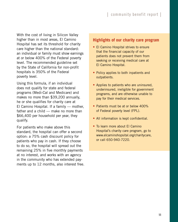With the cost of living in Silicon Valley higher than in most areas, El Camino Hospital has set its threshold for charity care higher than the national standard: an individual or family must show earnings at or below 400% of the Federal poverty level. The recommended guideline set by the State of California for non-profit hospitals is 350% of the Federal poverty level.

Using this formula, if an individual does not qualify for state and federal programs (Medi-Cal and Medicare) and makes no more than \$39,200 annually, he or she qualifies for charity care at El Camino Hospital. If a family — mother, father and a child — make no more than \$66,400 per household per year, they qualify.

For patients who make above this standard, the hospital can offer a second option: a 75% cash discount policy for patients who pay in cash. If they choose to do so, the hospital will spread out the remaining 25% in five monthly payments at no interest, and works with an agency in the community who has extended payments up to 12 months, also interest free.

#### **Highlights of our charity care program**

- El Camino Hospital strives to ensure that the financial capacity of our patients does not prevent them from seeking or receiving medical care at El Camino Hospital.
- Policy applies to both inpatients and outpatients.
- Applies to patients who are uninsured, underinsured, ineligible for government programs, and are otherwise unable to pay for their medical services.
- Patients must be at or below 400% of Federal poverty level (FPL).
- All information is kept confidential.
- To learn more about El Camino Hospital's charity care program, go to [www.elcaminohopsital.org/charitycare,](http://www.elcaminohospital.org/body.cfm?id=1358) or call 650-940-7220.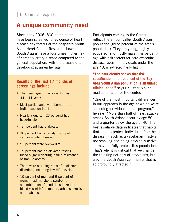### **A unique community need**

Since early 2006, 800 participants have been screened for evidence of heart disease risk factors at the hospital's South Asian Heart Center. Research shows that South Asians have a four times higher risk of coronary artery disease compared to the general population, with the disease often developing at an earlier age.

#### **Results of the first 17 months of screenings include:**

- The mean age of participants was  $44 \pm 11$  years.
- Most participants were born on the Indian subcontinent.
- Nearly a quarter (23 percent) had hypertension.
- Ten percent had diabetes.
- 36 percent had a family history of cardiovascular disease.
- 51 percent were overweight.
- 19 percent had an elevated fasting blood sugar reflecting insulin resistance or frank diabetes.
- There were alarming rates of cholesterol disorders, including low HDL levels.
- 15 percent of men and 9 percent of women had metabolic syndrome a combination of conditions linked to blood vessel inflammation, atherosclerosis and diabetes.

Participants coming to the Center reflect the Silicon Valley South Asian population (three percent of the area's population). They are young, highly educated, and mostly male. The percentage with risk factors for cardiovascular disease, even in individuals under the age 40, is extraordinarily high.

**"The data clearly shows that risk stratification and treatment of the Bay Area South Asian population is an unmet clinical need,"** says Dr. Cesar Molina, medical director of the center.

"One of the most important differences in our approach is the age at which we're screening individuals in our program," he says. "More than half of heart attacks among South Asians occur by age 50, and a quarter below the age of 40. The best available data indicates that habits that tend to protect individuals from heart disease — such as a vegetarian lifestyle, not smoking and being physically active — may not fully protect this population. That's why it is critical that we change the thinking not only of physicians, but also the South Asian community that is so profoundly affected."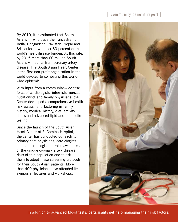#### community benefit report |

By 2010, it is estimated that South Asians — who trace their ancestry from India, Bangladesh, Pakistan, Nepal and Sri Lanka — will bear 60 percent of the world's heart disease burden. At this rate, by 2015 more than 60 million South Asians will suffer from coronary artery disease. The South Asian Heart Center is the first non-profit organization in the world devoted to combating this worldwide epidemic.

With input from a community-wide task force of cardiologists, internists, nurses, nutritionists and family physicians, the Center developed a comprehensive health risk assessment, factoring in family history, medical history, diet, activity, stress and advanced lipid and metabolic testing.

Since the launch of the South Asian Heart Center at El Camino Hospital, the center has conducted outreach to primary care physicians, cardiologists and endocrinologists to raise awareness of the unique coronary artery disease risks of this population and to ask them to adopt these screening protocols for their South Asian patients. More than 400 physicians have attended its symposia, lectures and workshops.

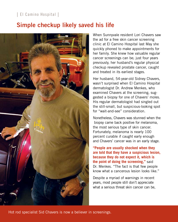### **Simple checkup likely saved his life**



When Sunnyvale resident Lori Chavers saw the ad for a free skin cancer screening clinic at El Camino Hospital last May she quickly phoned to make appointments for her family. She knew how valuable regular cancer screenings can be; just four years previously, her husband's regular physical checkup revealed prostate cancer, caught and treated in its earliest stages.

Her husband, 54-year-old Sidney Chavers, wasn't surprised when El Camino Hospital dermatologist Dr. Andrew Menkes, who examined Chavers at the screening, suggested a biopsy for one of Chavers' moles. His regular dermatologist had singled out the still-small, but suspicious-looking spot for "wait-and-see" consideration.

Nonetheless, Chavers was stunned when the biopsy came back positive for melanoma, the most serious type of skin cancer. Fortunately, melanoma is nearly 100 percent curable if caught early enough and Chavers' cancer was in an early stage.

**"People are usually shocked when they are told that they have a suspicious lesion, because they do not expect it, which is the point of doing the screening,"** said Dr. Menkes. "The fact is that few people know what a cancerous lesion looks like."

Despite a myriad of warnings in recent years, most people still don't appreciate what a serious threat skin cancer can be,

Hot rod specialist Sid Chavers is now a believer in screenings.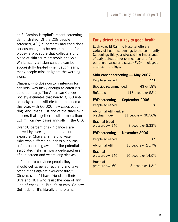as El Camino Hospital's recent screening demonstrated. Of the 228 people screened, 43 (19 percent) had conditions serious enough to be recommended for biopsy, a procedure that collects a tiny piece of skin for microscopic analysis. While nearly all skin cancers can be successfully treated when caught early, many people miss or ignore the warning signs.

Chavers, who does custom interiors for hot rods, was lucky enough to catch his condition early. The American Cancer Society estimates that nearly 8,100 notso-lucky people will die from melanoma this year, with 60,000 new cases occurring. And, that's just one of the three skin cancers that together result in more than 1.3 million new cases annually in the U.S.

Over 90 percent of skin cancers are caused by excess, unprotected sun exposure. Chavers, a lifelong water skier who suffered countless sunburns before becoming aware of the potential associated risks, is now a dedicated user of sun screen and wears long sleeves.

"It's hard to convince people they should get screened regularly and take precautions against over-exposure," Chavers said. "I have friends in their 30's and 40's who resist the idea of any kind of check-up. But it's so easy. Go now. Get it done! It's literally a no-brainer."

#### **Early detection a key to good health**

Each year, El Camino Hospital offers a variety of health screenings to the community. Screenings this year stressed the importance of early detection for skin cancer and for peripheral vascular disease (PVD) — clogged arteries in the legs.

#### **Skin cancer screening — May 2007**

| People screened                                                | 228                |  |  |
|----------------------------------------------------------------|--------------------|--|--|
| <b>Biopsies recommended</b>                                    | 43 or 18%          |  |  |
| <b>Referrals</b>                                               | 118 people or 52%  |  |  |
| <b>PVD screening — September 2006</b>                          |                    |  |  |
| People screened                                                | 36                 |  |  |
| Abnormal ABI (ankle/<br>11 people or 30.56%<br>brachial index) |                    |  |  |
| <b>Brachial blood</b><br>pressure $\ge$ 140                    | 3 people or 8.33%  |  |  |
| <b>PVD screening — November 2006</b>                           |                    |  |  |
| People screened                                                | 69                 |  |  |
| <b>Abnormal ABI</b>                                            | 15 people or 21.7% |  |  |
| <b>Brachial</b><br>pressure $\ge$ 140                          | 10 people or 14.5% |  |  |
| <b>Brachial</b><br>pressure $>=$ $160$                         | 3 people or 4.3%   |  |  |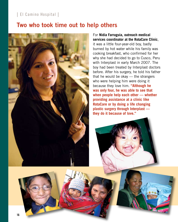### **Two who took time out to help others**



For **Nidia Farruguia, outreach medical services coordinator at the RotaCare Clinic**, it was a little four-year-old boy, badly burned by hot water while his family was cooking breakfast, who confirmed for her why she had decided to go to Cusco, Peru with Interplast in early March 2007. The boy had been treated by Interplast doctors before. After his surgery, he told his father that he would be okay — the strangers who were helping him were doing it because they love him. **"Although he was only four, he was able to see that when people help each other — whether providing assistance at a clinic like RotaCare or by doing a life changing plastic surgery through Interplast they do it because of love."**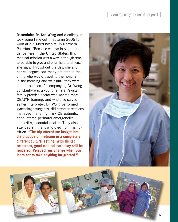**Obstetrician Dr. Ann Wong** and a colleague took some time out in autumn 2006 to work at a 50-bed hospital in Northern Pakistan. "Because we live in such abundance here in the United States, this medical mission was a way, although small, to be able to give and offer help to others," she says. Throughout the day, she and her colleagues saw many patients in the clinic who would travel to the hospital in the morning and wait until they were able to be seen. Accompanying Dr. Wong constantly was a young female Pakistani family practice doctor who wanted more OB/GYN training, and who also served as her interpreter. Dr. Wong performed gynecologic surgeries, did cesarean sections, managed many high-risk OB patients, encountered perinatal emergencies, stillbirths, neonatal deaths. They also attended an infant who died from malnutrition. **"The trip offered me insight into the practice of medicine in a completely different cultural setting. With limited resources, good medical care may still be rendered. Perspectives change when you learn not to take anything for granted."**



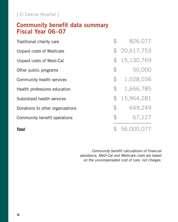### **Community benefit data summary Fiscal Year 06–07**

| Traditional charity care         |               | 826,077    |
|----------------------------------|---------------|------------|
| Unpaid costs of Medicare         | $\mathcal{F}$ | 20,617,753 |
| Unpaid costs of Medi-Cal         | $\mathcal{F}$ | 15,130,769 |
| Other public programs            | $\mathcal{P}$ | 50,000     |
| Community health services        | $\mathcal{P}$ | 1,028,036  |
| Health professions education     | $\mathcal{P}$ | 1,666,785  |
| Subsidized health services       | $\mathcal{F}$ | 15,964,281 |
| Donations to other organizations | $\mathcal{P}$ | 649,249    |
| Community benefit operations     | $\mathcal{P}$ | 67,127     |
| <b>Total</b>                     |               | 56,000,077 |

*Community benefit calculations of financial assistance, Medi-Cal and Medicare costs are based on the uncompensated cost of care, not charges.*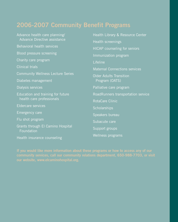### **2006-2007 Community Benefit Programs**

| Advance health care planning/                   | Health Library & Resource Center     |  |
|-------------------------------------------------|--------------------------------------|--|
| Advance Directive assistance                    | Health screenings                    |  |
| Behavioral health services                      | <b>HICAP</b> counseling for seniors  |  |
| Blood pressure screening                        | Immunization program                 |  |
| Charity care program                            | Lifeline                             |  |
| <b>Clinical trials</b>                          | <b>Maternal Connections services</b> |  |
| <b>Community Wellness Lecture Series</b>        | <b>Older Adults Transition</b>       |  |
| Diabetes management                             | Program (OATS)                       |  |
| Dialysis services                               | Palliative care program              |  |
| Education and training for future               | RoadRunners transportation service   |  |
| health care professionals                       | RotaCare Clinic                      |  |
| <b>Eldercare services</b>                       | Scholarships                         |  |
| <b>Emergency care</b>                           | Speakers bureau                      |  |
| Flu shot program                                | Subacute care                        |  |
| Grants through El Camino Hospital<br>Foundation | Support groups                       |  |
| Health insurance counseling                     | Wellness programs                    |  |